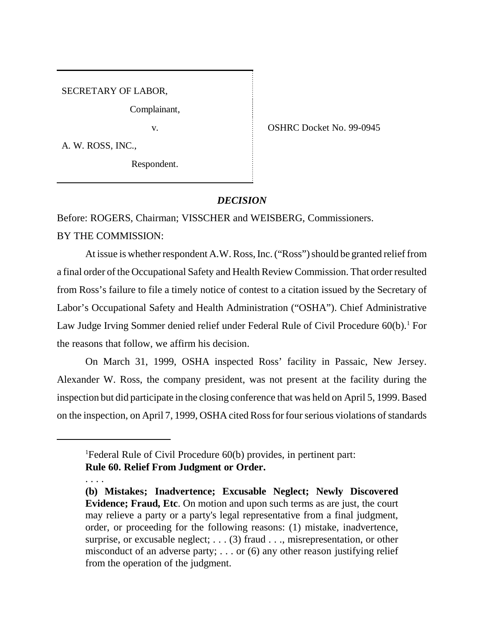#### SECRETARY OF LABOR,

Complainant,

A. W. ROSS, INC.,

Respondent.

v. 69-0945

## *DECISION*

Before: ROGERS, Chairman; VISSCHER and WEISBERG, Commissioners.

# BY THE COMMISSION:

. . . .

At issue is whether respondent A.W. Ross, Inc. ("Ross") should be granted relief from a final order of the Occupational Safety and Health Review Commission. That order resulted from Ross's failure to file a timely notice of contest to a citation issued by the Secretary of Labor's Occupational Safety and Health Administration ("OSHA"). Chief Administrative Law Judge Irving Sommer denied relief under Federal Rule of Civil Procedure 60(b).<sup>1</sup> For the reasons that follow, we affirm his decision.

On March 31, 1999, OSHA inspected Ross' facility in Passaic, New Jersey. Alexander W. Ross, the company president, was not present at the facility during the inspection but did participate in the closing conference that was held on April 5, 1999. Based on the inspection, on April 7, 1999, OSHA cited Ross for four serious violations of standards

<sup>&</sup>lt;sup>1</sup>Federal Rule of Civil Procedure 60(b) provides, in pertinent part: **Rule 60. Relief From Judgment or Order.**

**<sup>(</sup>b) Mistakes; Inadvertence; Excusable Neglect; Newly Discovered Evidence; Fraud, Etc**. On motion and upon such terms as are just, the court may relieve a party or a party's legal representative from a final judgment, order, or proceeding for the following reasons: (1) mistake, inadvertence, surprise, or excusable neglect; . . . (3) fraud . . ., misrepresentation, or other misconduct of an adverse party; . . . or (6) any other reason justifying relief from the operation of the judgment.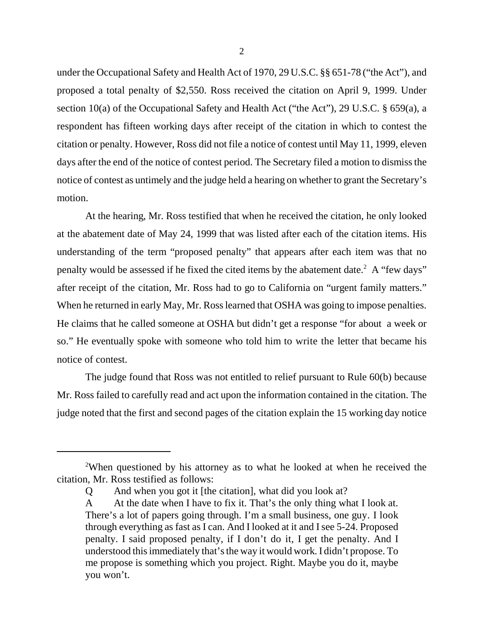under the Occupational Safety and Health Act of 1970, 29 U.S.C. §§ 651-78 ("the Act"), and proposed a total penalty of \$2,550. Ross received the citation on April 9, 1999. Under section 10(a) of the Occupational Safety and Health Act ("the Act"), 29 U.S.C. § 659(a), a respondent has fifteen working days after receipt of the citation in which to contest the citation or penalty. However, Ross did not file a notice of contest until May 11, 1999, eleven days after the end of the notice of contest period. The Secretary filed a motion to dismiss the notice of contest as untimely and the judge held a hearing on whether to grant the Secretary's motion.

At the hearing, Mr. Ross testified that when he received the citation, he only looked at the abatement date of May 24, 1999 that was listed after each of the citation items. His understanding of the term "proposed penalty" that appears after each item was that no penalty would be assessed if he fixed the cited items by the abatement date.<sup>2</sup> A "few days" after receipt of the citation, Mr. Ross had to go to California on "urgent family matters." When he returned in early May, Mr. Ross learned that OSHA was going to impose penalties. He claims that he called someone at OSHA but didn't get a response "for about a week or so." He eventually spoke with someone who told him to write the letter that became his notice of contest.

The judge found that Ross was not entitled to relief pursuant to Rule 60(b) because Mr. Ross failed to carefully read and act upon the information contained in the citation. The judge noted that the first and second pages of the citation explain the 15 working day notice

<sup>&</sup>lt;sup>2</sup>When questioned by his attorney as to what he looked at when he received the citation, Mr. Ross testified as follows:

Q And when you got it [the citation], what did you look at?

A At the date when I have to fix it. That's the only thing what I look at. There's a lot of papers going through. I'm a small business, one guy. I look through everything as fast as I can. And I looked at it and I see 5-24. Proposed penalty. I said proposed penalty, if I don't do it, I get the penalty. And I understood this immediately that's the way it would work. I didn't propose. To me propose is something which you project. Right. Maybe you do it, maybe you won't.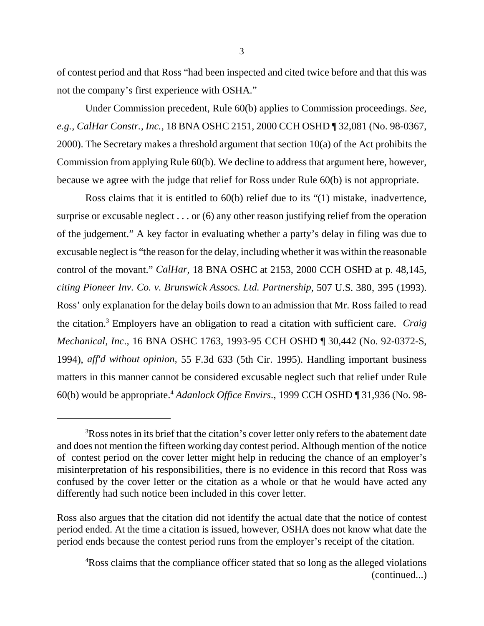of contest period and that Ross "had been inspected and cited twice before and that this was not the company's first experience with OSHA."

Under Commission precedent, Rule 60(b) applies to Commission proceedings. *See, e.g., CalHar Constr., Inc.,* 18 BNA OSHC 2151, 2000 CCH OSHD ¶ 32,081 (No. 98-0367, 2000). The Secretary makes a threshold argument that section 10(a) of the Act prohibits the Commission from applying Rule 60(b). We decline to address that argument here, however, because we agree with the judge that relief for Ross under Rule 60(b) is not appropriate.

Ross claims that it is entitled to 60(b) relief due to its "(1) mistake, inadvertence, surprise or excusable neglect . . . or (6) any other reason justifying relief from the operation of the judgement." A key factor in evaluating whether a party's delay in filing was due to excusable neglect is "the reason for the delay, including whether it was within the reasonable control of the movant." *CalHar*, 18 BNA OSHC at 2153, 2000 CCH OSHD at p. 48,145, *citing Pioneer Inv. Co. v. Brunswick Assocs. Ltd. Partnership*, 507 U.S. 380, 395 (1993). Ross' only explanation for the delay boils down to an admission that Mr. Ross failed to read the citation.3 Employers have an obligation to read a citation with sufficient care. *Craig Mechanical, Inc*., 16 BNA OSHC 1763, 1993-95 CCH OSHD ¶ 30,442 (No. 92-0372-S, 1994), *aff'd without opinion,* 55 F.3d 633 (5th Cir. 1995). Handling important business matters in this manner cannot be considered excusable neglect such that relief under Rule 60(b) would be appropriate.4 *Adanlock Office Envirs*., 1999 CCH OSHD ¶ 31,936 (No. 98-

3

<sup>&</sup>lt;sup>3</sup>Ross notes in its brief that the citation's cover letter only refers to the abatement date and does not mention the fifteen working day contest period. Although mention of the notice of contest period on the cover letter might help in reducing the chance of an employer's misinterpretation of his responsibilities, there is no evidence in this record that Ross was confused by the cover letter or the citation as a whole or that he would have acted any differently had such notice been included in this cover letter.

Ross also argues that the citation did not identify the actual date that the notice of contest period ended. At the time a citation is issued, however, OSHA does not know what date the period ends because the contest period runs from the employer's receipt of the citation.

<sup>4</sup> Ross claims that the compliance officer stated that so long as the alleged violations (continued...)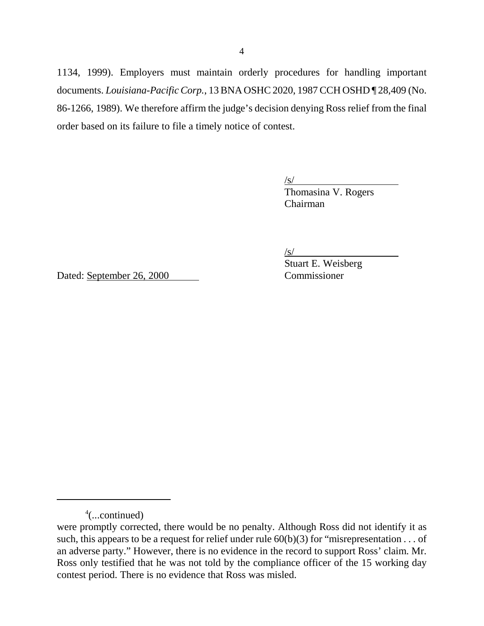1134, 1999). Employers must maintain orderly procedures for handling important documents. *Louisiana-Pacific Corp.*, 13 BNA OSHC 2020, 1987 CCH OSHD ¶ 28,409 (No. 86-1266, 1989). We therefore affirm the judge's decision denying Ross relief from the final order based on its failure to file a timely notice of contest.

> $\sqrt{s/}$ Thomasina V. Rogers Chairman

 $\sqrt{s/2}$ 

Dated: September 26, 2000 Commissioner

Stuart E. Weisberg

<sup>4</sup> (...continued)

were promptly corrected, there would be no penalty. Although Ross did not identify it as such, this appears to be a request for relief under rule  $60(b)(3)$  for "misrepresentation . . . of an adverse party." However, there is no evidence in the record to support Ross' claim. Mr. Ross only testified that he was not told by the compliance officer of the 15 working day contest period. There is no evidence that Ross was misled.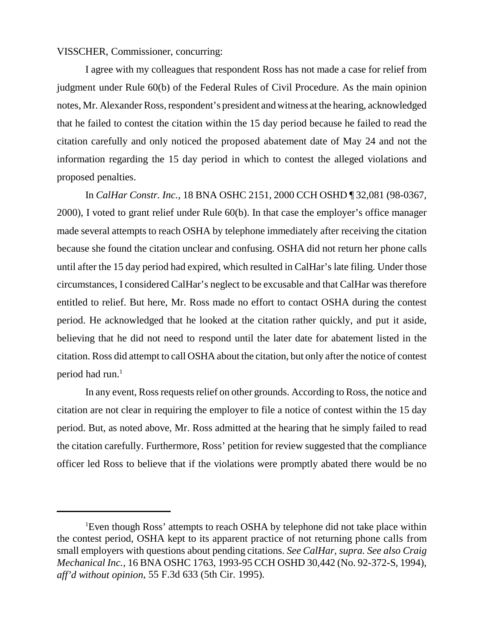## VISSCHER, Commissioner, concurring:

I agree with my colleagues that respondent Ross has not made a case for relief from judgment under Rule 60(b) of the Federal Rules of Civil Procedure. As the main opinion notes, Mr. Alexander Ross, respondent's president and witness at the hearing, acknowledged that he failed to contest the citation within the 15 day period because he failed to read the citation carefully and only noticed the proposed abatement date of May 24 and not the information regarding the 15 day period in which to contest the alleged violations and proposed penalties.

In *CalHar Constr. Inc.,* 18 BNA OSHC 2151, 2000 CCH OSHD ¶ 32,081 (98-0367, 2000), I voted to grant relief under Rule 60(b). In that case the employer's office manager made several attempts to reach OSHA by telephone immediately after receiving the citation because she found the citation unclear and confusing. OSHA did not return her phone calls until after the 15 day period had expired, which resulted in CalHar's late filing. Under those circumstances, I considered CalHar's neglect to be excusable and that CalHar was therefore entitled to relief. But here, Mr. Ross made no effort to contact OSHA during the contest period. He acknowledged that he looked at the citation rather quickly, and put it aside, believing that he did not need to respond until the later date for abatement listed in the citation. Ross did attempt to call OSHA about the citation, but only after the notice of contest period had run.<sup>1</sup>

In any event, Ross requests relief on other grounds. According to Ross, the notice and citation are not clear in requiring the employer to file a notice of contest within the 15 day period. But, as noted above, Mr. Ross admitted at the hearing that he simply failed to read the citation carefully. Furthermore, Ross' petition for review suggested that the compliance officer led Ross to believe that if the violations were promptly abated there would be no

<sup>&</sup>lt;sup>1</sup>Even though Ross' attempts to reach OSHA by telephone did not take place within the contest period, OSHA kept to its apparent practice of not returning phone calls from small employers with questions about pending citations. *See CalHar, supra. See also Craig Mechanical Inc.*, 16 BNA OSHC 1763, 1993-95 CCH OSHD 30,442 (No. 92-372-S, 1994), *aff'd without opinion*, 55 F.3d 633 (5th Cir. 1995).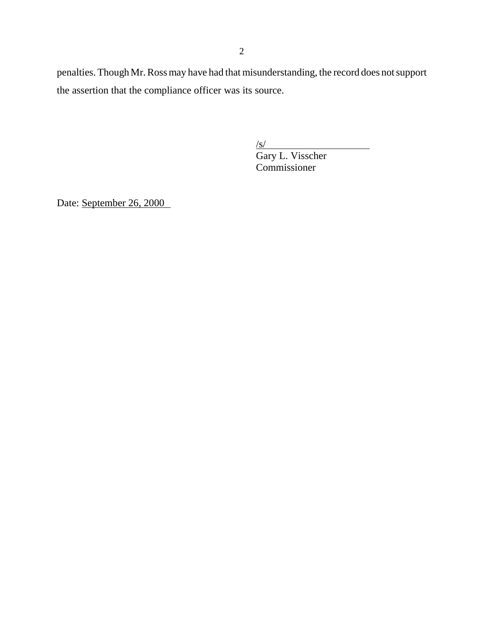penalties. Though Mr. Ross may have had that misunderstanding, the record does not support the assertion that the compliance officer was its source.

> $\sqrt{s/}$ Gary L. Visscher Commissioner

Date: September 26, 2000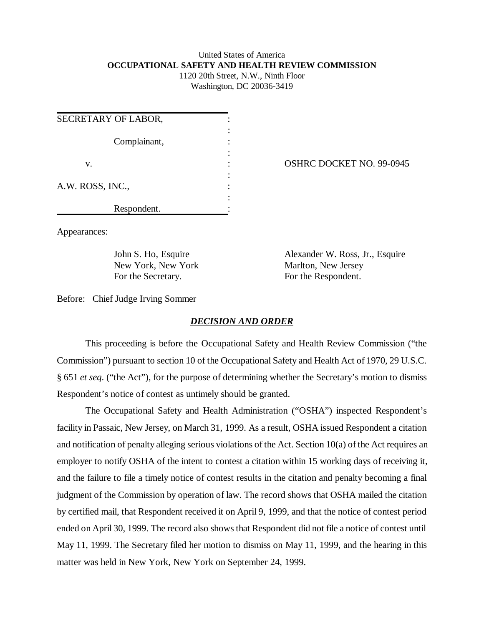## United States of America **OCCUPATIONAL SAFETY AND HEALTH REVIEW COMMISSION**

1120 20th Street, N.W., Ninth Floor Washington, DC 20036-3419

| SECRETARY OF LABOR, |  |
|---------------------|--|
| Complainant,        |  |
| V.                  |  |
| A.W. ROSS, INC.,    |  |
| Respondent.         |  |

OSHRC DOCKET NO. 99-0945

Appearances:

New York, New York Marlton, New Jersey For the Secretary. For the Respondent.

John S. Ho, Esquire Alexander W. Ross, Jr., Esquire

Before: Chief Judge Irving Sommer

#### *DECISION AND ORDER*

This proceeding is before the Occupational Safety and Health Review Commission ("the Commission") pursuant to section 10 of the Occupational Safety and Health Act of 1970, 29 U.S.C. § 651 *et seq*. ("the Act"), for the purpose of determining whether the Secretary's motion to dismiss Respondent's notice of contest as untimely should be granted.

The Occupational Safety and Health Administration ("OSHA") inspected Respondent's facility in Passaic, New Jersey, on March 31, 1999. As a result, OSHA issued Respondent a citation and notification of penalty alleging serious violations of the Act. Section 10(a) of the Act requires an employer to notify OSHA of the intent to contest a citation within 15 working days of receiving it, and the failure to file a timely notice of contest results in the citation and penalty becoming a final judgment of the Commission by operation of law. The record shows that OSHA mailed the citation by certified mail, that Respondent received it on April 9, 1999, and that the notice of contest period ended on April 30, 1999. The record also shows that Respondent did not file a notice of contest until May 11, 1999. The Secretary filed her motion to dismiss on May 11, 1999, and the hearing in this matter was held in New York, New York on September 24, 1999.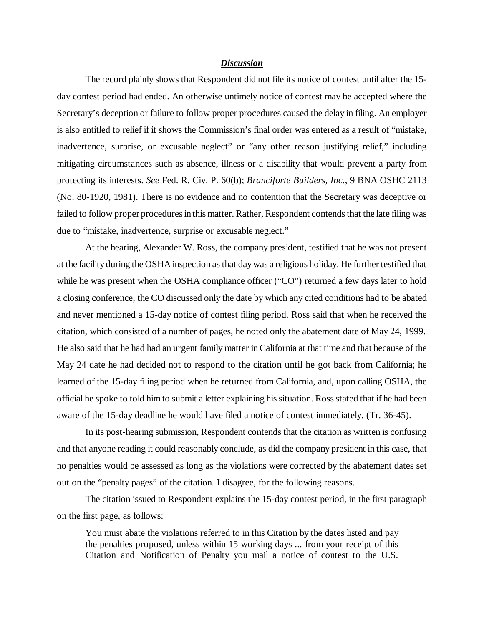#### *Discussion*

The record plainly shows that Respondent did not file its notice of contest until after the 15 day contest period had ended. An otherwise untimely notice of contest may be accepted where the Secretary's deception or failure to follow proper procedures caused the delay in filing. An employer is also entitled to relief if it shows the Commission's final order was entered as a result of "mistake, inadvertence, surprise, or excusable neglect" or "any other reason justifying relief," including mitigating circumstances such as absence, illness or a disability that would prevent a party from protecting its interests. *See* Fed. R. Civ. P. 60(b); *Branciforte Builders, Inc.*, 9 BNA OSHC 2113 (No. 80-1920, 1981). There is no evidence and no contention that the Secretary was deceptive or failed to follow proper procedures in this matter. Rather, Respondent contends that the late filing was due to "mistake, inadvertence, surprise or excusable neglect."

At the hearing, Alexander W. Ross, the company president, testified that he was not present at the facility during the OSHA inspection as that day was a religious holiday. He further testified that while he was present when the OSHA compliance officer ("CO") returned a few days later to hold a closing conference, the CO discussed only the date by which any cited conditions had to be abated and never mentioned a 15-day notice of contest filing period. Ross said that when he received the citation, which consisted of a number of pages, he noted only the abatement date of May 24, 1999. He also said that he had had an urgent family matter in California at that time and that because of the May 24 date he had decided not to respond to the citation until he got back from California; he learned of the 15-day filing period when he returned from California, and, upon calling OSHA, the official he spoke to told him to submit a letter explaining his situation. Ross stated that if he had been aware of the 15-day deadline he would have filed a notice of contest immediately. (Tr. 36-45).

In its post-hearing submission, Respondent contends that the citation as written is confusing and that anyone reading it could reasonably conclude, as did the company president in this case, that no penalties would be assessed as long as the violations were corrected by the abatement dates set out on the "penalty pages" of the citation. I disagree, for the following reasons.

The citation issued to Respondent explains the 15-day contest period, in the first paragraph on the first page, as follows:

You must abate the violations referred to in this Citation by the dates listed and pay the penalties proposed, unless within 15 working days ... from your receipt of this Citation and Notification of Penalty you mail a notice of contest to the U.S.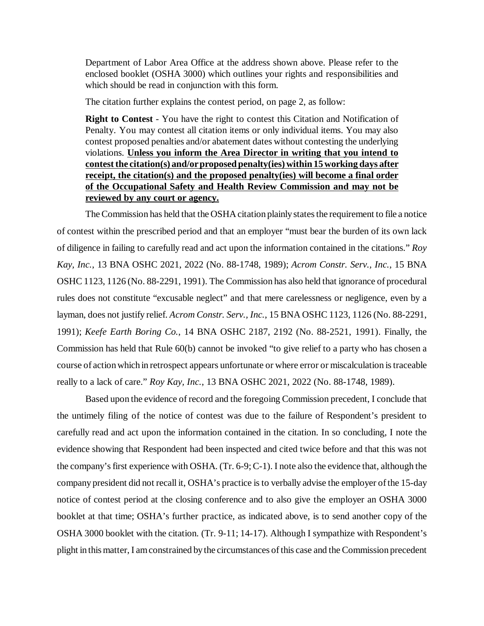Department of Labor Area Office at the address shown above. Please refer to the enclosed booklet (OSHA 3000) which outlines your rights and responsibilities and which should be read in conjunction with this form.

The citation further explains the contest period, on page 2, as follow:

**Right to Contest** - You have the right to contest this Citation and Notification of Penalty. You may contest all citation items or only individual items. You may also contest proposed penalties and/or abatement dates without contesting the underlying violations. **Unless you inform the Area Director in writing that you intend to contest the citation(s) and/or proposed penalty(ies) within 15 working days after receipt, the citation(s) and the proposed penalty(ies) will become a final order of the Occupational Safety and Health Review Commission and may not be reviewed by any court or agency.**

The Commission has held that the OSHA citation plainly states the requirement to file a notice of contest within the prescribed period and that an employer "must bear the burden of its own lack of diligence in failing to carefully read and act upon the information contained in the citations." *Roy Kay, Inc.*, 13 BNA OSHC 2021, 2022 (No. 88-1748, 1989); *Acrom Constr. Serv., Inc.*, 15 BNA OSHC 1123, 1126 (No. 88-2291, 1991). The Commission has also held that ignorance of procedural rules does not constitute "excusable neglect" and that mere carelessness or negligence, even by a layman, does not justify relief. *Acrom Constr. Serv., Inc.*, 15 BNA OSHC 1123, 1126 (No. 88-2291, 1991); *Keefe Earth Boring Co.*, 14 BNA OSHC 2187, 2192 (No. 88-2521, 1991). Finally, the Commission has held that Rule 60(b) cannot be invoked "to give relief to a party who has chosen a course of action which in retrospect appears unfortunate or where error or miscalculation is traceable really to a lack of care." *Roy Kay, Inc.*, 13 BNA OSHC 2021, 2022 (No. 88-1748, 1989).

Based upon the evidence of record and the foregoing Commission precedent, I conclude that the untimely filing of the notice of contest was due to the failure of Respondent's president to carefully read and act upon the information contained in the citation. In so concluding, I note the evidence showing that Respondent had been inspected and cited twice before and that this was not the company's first experience with OSHA. (Tr. 6-9; C-1). I note also the evidence that, although the company president did not recall it, OSHA's practice is to verbally advise the employer of the 15-day notice of contest period at the closing conference and to also give the employer an OSHA 3000 booklet at that time; OSHA's further practice, as indicated above, is to send another copy of the OSHA 3000 booklet with the citation. (Tr. 9-11; 14-17). Although I sympathize with Respondent's plight in this matter, I am constrained by the circumstances of this case and the Commission precedent